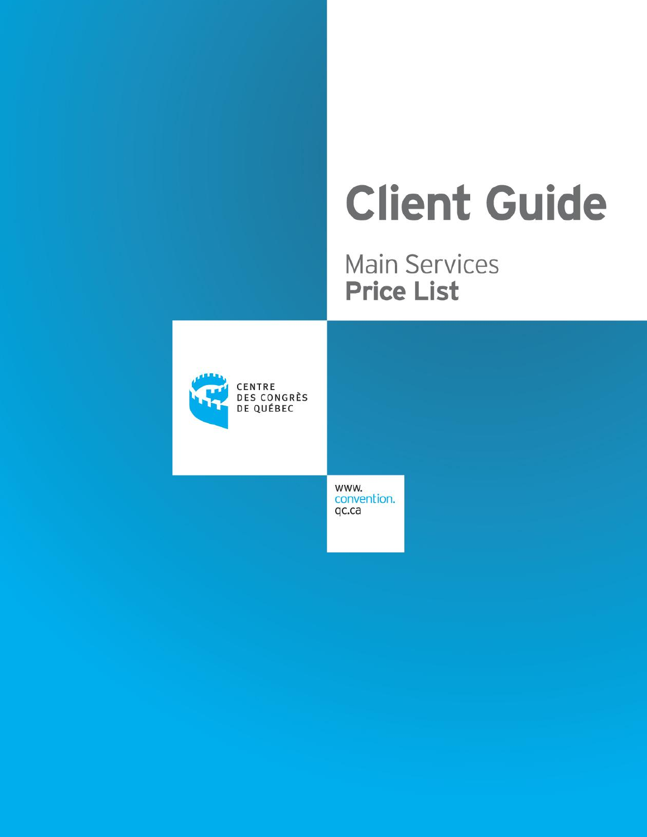# **Client Guide**

**Main Services Price List** 



CENTRE **DES CONGRÈS** DE QUÉBEC

> www. convention. qc.ca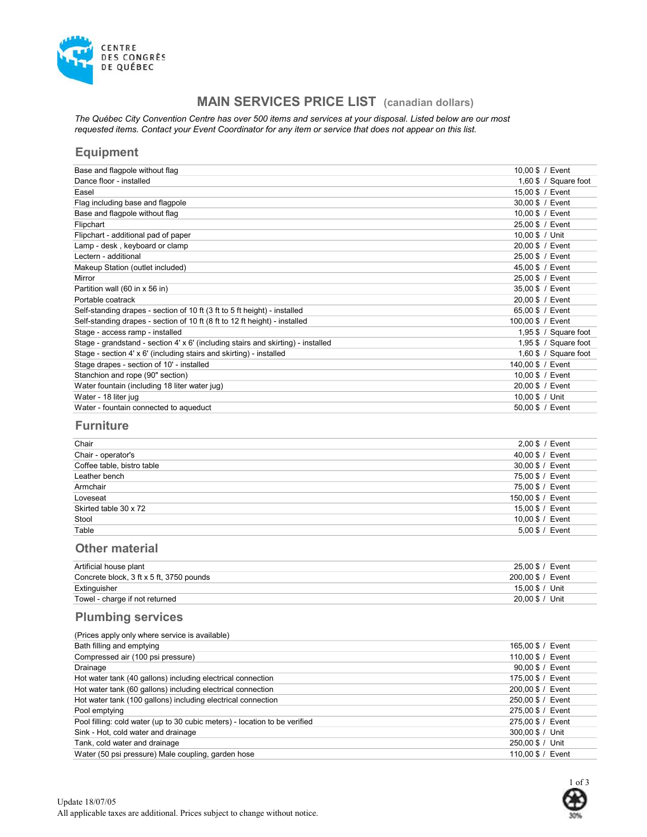

# MAIN SERVICES PRICE LIST (canadian dollars)

The Québec City Convention Centre has over 500 items and services at your disposal. Listed below are our most requested items. Contact your Event Coordinator for any item or service that does not appear on this list.

## Equipment

| 10,00 \$ / Event      |
|-----------------------|
| 1,60 \$ / Square foot |
| 15,00 \$ / Event      |
| 30.00 \$ / Event      |
| 10,00 \$ / Event      |
| 25,00 \$ / Event      |
| 10,00 \$ / Unit       |
| 20,00 \$ / Event      |
| 25,00 \$ / Event      |
| 45,00 \$ / Event      |
| 25,00 \$ / Event      |
| 35,00 \$ / Event      |
| 20,00 \$ / Event      |
| 65,00 \$ / Event      |
| 100,00 \$ / Event     |
| 1,95 \$ / Square foot |
| 1,95 \$ / Square foot |
| 1,60 \$ / Square foot |
| 140,00 \$ / Event     |
| 10,00 \$ / Event      |
| 20,00 \$ / Event      |
| 10,00 \$ / Unit       |
| 50,00 \$ / Event      |
|                       |

# **Furniture**

| Chair                      | $2,00$ \$ / Event |
|----------------------------|-------------------|
| Chair - operator's         | 40,00 \$ / Event  |
| Coffee table, bistro table | 30,00 \$ / Event  |
| Leather bench              | 75,00 \$ / Event  |
| Armchair                   | 75,00 \$ / Event  |
| Loveseat                   | 150,00 \$ / Event |
| Skirted table 30 x 72      | 15,00 \$ / Event  |
| Stool                      | 10,00 \$ / Event  |
| Table                      | 5,00 \$ / Event   |

# Other material

| Artificial house plant                   | 25.00 \$ / Event  |
|------------------------------------------|-------------------|
| Concrete block, 3 ft x 5 ft, 3750 pounds | 200.00 \$ / Event |
| Extinguisher                             | 15.00 \$ / Unit   |
| Towel - charge if not returned           | 20.00 \$ / Unit   |

# Plumbing services

| (Prices apply only where service is available)                             |                   |
|----------------------------------------------------------------------------|-------------------|
| Bath filling and emptying                                                  | 165,00 \$ / Event |
| Compressed air (100 psi pressure)                                          | 110.00 \$ / Event |
| Drainage                                                                   | 90.00 \$ / Event  |
| Hot water tank (40 gallons) including electrical connection                | 175,00 \$ / Event |
| Hot water tank (60 gallons) including electrical connection                | 200,00 \$ / Event |
| Hot water tank (100 gallons) including electrical connection               | 250,00 \$ / Event |
| Pool emptying                                                              | 275.00 \$ / Event |
| Pool filling: cold water (up to 30 cubic meters) - location to be verified | 275,00 \$ / Event |
| Sink - Hot, cold water and drainage                                        | 300.00 \$ / Unit  |
| Tank, cold water and drainage                                              | 250,00 \$ / Unit  |
| Water (50 psi pressure) Male coupling, garden hose                         | 110,00 \$ / Event |
|                                                                            |                   |

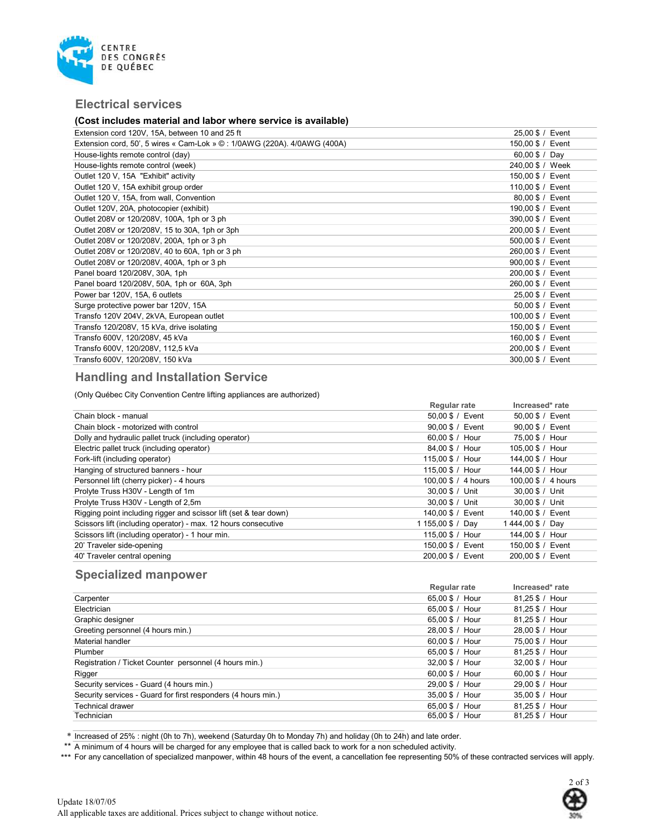

### Electrical services

#### (Cost includes material and labor where service is available)

| Extension cord 120V, 15A, between 10 and 25 ft                                  | 25,00 \$ / Event  |
|---------------------------------------------------------------------------------|-------------------|
|                                                                                 |                   |
| Extension cord, 50', 5 wires « Cam-Lok » $\odot$ : 1/0AWG (220A). 4/0AWG (400A) | 150,00 \$ / Event |
| House-lights remote control (day)                                               | 60,00 $$ / Day$   |
| House-lights remote control (week)                                              | 240,00 \$ / Week  |
| Outlet 120 V, 15A "Exhibit" activity                                            | 150,00 \$ / Event |
| Outlet 120 V, 15A exhibit group order                                           | 110,00 \$ / Event |
| Outlet 120 V, 15A, from wall, Convention                                        | 80,00 \$ / Event  |
| Outlet 120V, 20A, photocopier (exhibit)                                         | 190,00 \$ / Event |
| Outlet 208V or 120/208V, 100A, 1ph or 3 ph                                      | 390,00 \$ / Event |
| Outlet 208V or 120/208V, 15 to 30A, 1ph or 3ph                                  | 200,00 \$ / Event |
| Outlet 208V or 120/208V, 200A, 1ph or 3 ph                                      | 500,00 \$ / Event |
| Outlet 208V or 120/208V, 40 to 60A, 1ph or 3 ph                                 | 260,00 \$ / Event |
| Outlet 208V or 120/208V, 400A, 1ph or 3 ph                                      | 900,00 \$ / Event |
| Panel board 120/208V, 30A, 1ph                                                  | 200,00 \$ / Event |
| Panel board 120/208V, 50A, 1ph or 60A, 3ph                                      | 260,00 \$ / Event |
| Power bar 120V, 15A, 6 outlets                                                  | 25,00 \$ / Event  |
| Surge protective power bar 120V, 15A                                            | 50,00 \$ / Event  |
| Transfo 120V 204V, 2kVA, European outlet                                        | 100,00 \$ / Event |
| Transfo 120/208V, 15 kVa, drive isolating                                       | 150,00 \$ / Event |
| Transfo 600V, 120/208V, 45 kVa                                                  | 160,00 \$ / Event |
| Transfo 600V, 120/208V, 112,5 kVa                                               | 200,00 \$ / Event |
| Transfo 600V, 120/208V, 150 kVa                                                 | 300,00 \$ / Event |
|                                                                                 |                   |

## Handling and Installation Service

(Only Québec City Convention Centre lifting appliances are authorized)

|                                                                   | Regular rate        | Increased* rate     |
|-------------------------------------------------------------------|---------------------|---------------------|
| Chain block - manual                                              | 50.00 \$ / Event    | 50,00 \$ / Event    |
| Chain block - motorized with control                              | 90,00 \$ / Event    | 90,00 \$ / Event    |
| Dolly and hydraulic pallet truck (including operator)             | 60.00 \$ / Hour     | 75.00 \$ / Hour     |
| Electric pallet truck (including operator)                        | 84.00 \$ / Hour     | 105.00 \$ / Hour    |
| Fork-lift (including operator)                                    | 115,00 \$ / Hour    | 144.00 \$ / Hour    |
| Hanging of structured banners - hour                              | 115,00 \$ / Hour    | 144,00 \$ / Hour    |
| Personnel lift (cherry picker) - 4 hours                          | 100,00 \$ / 4 hours | 100,00 \$ / 4 hours |
| Prolyte Truss H30V - Length of 1m                                 | 30.00 \$ / Unit     | 30,00 \$ / Unit     |
| Prolyte Truss H30V - Length of 2,5m                               | 30.00 \$ / Unit     | 30.00 \$ / Unit     |
| Rigging point including rigger and scissor lift (set & tear down) | 140.00 \$ / Event   | 140,00 \$ / Event   |
| Scissors lift (including operator) - max. 12 hours consecutive    | 1 155,00 \$ / Day   | 1444,00 \$ / Day    |
| Scissors lift (including operator) - 1 hour min.                  | 115,00 \$ / Hour    | 144,00 \$ / Hour    |
| 20' Traveler side-opening                                         | 150.00 \$ / Event   | 150,00 \$ / Event   |
| 40' Traveler central opening                                      | 200.00 \$ / Event   | 200.00 \$ / Event   |

# Specialized manpower

|                                                               | <b>Regular rate</b> | Increased* rate |
|---------------------------------------------------------------|---------------------|-----------------|
| Carpenter                                                     | 65.00 \$ / Hour     | 81,25 \$ / Hour |
| Electrician                                                   | 65.00 \$ / Hour     | 81.25 \$ / Hour |
| Graphic designer                                              | 65.00 \$ / Hour     | 81.25 \$ / Hour |
| Greeting personnel (4 hours min.)                             | 28.00 \$ / Hour     | 28.00 \$ / Hour |
| Material handler                                              | 60.00 \$ / Hour     | 75.00 \$ / Hour |
| Plumber                                                       | 65.00 \$ / Hour     | 81,25 \$ / Hour |
| Registration / Ticket Counter personnel (4 hours min.)        | 32.00 \$ / Hour     | 32,00 \$ / Hour |
| Rigger                                                        | 60.00 \$ / Hour     | 60.00 \$ / Hour |
| Security services - Guard (4 hours min.)                      | 29.00 \$ / Hour     | 29.00 \$ / Hour |
| Security services - Guard for first responders (4 hours min.) | 35.00 \$ / Hour     | 35.00 \$ / Hour |
| <b>Technical drawer</b>                                       | 65.00 \$ / Hour     | 81.25 \$ / Hour |
| Technician                                                    | 65.00 \$ / Hour     | 81.25 \$ / Hour |

\* Increased of 25% : night (0h to 7h), weekend (Saturday 0h to Monday 7h) and holiday (0h to 24h) and late order.

\*\* A minimum of 4 hours will be charged for any employee that is called back to work for a non scheduled activity.

\*\*\* For any cancellation of specialized manpower, within 48 hours of the event, a cancellation fee representing 50% of these contracted services will apply.